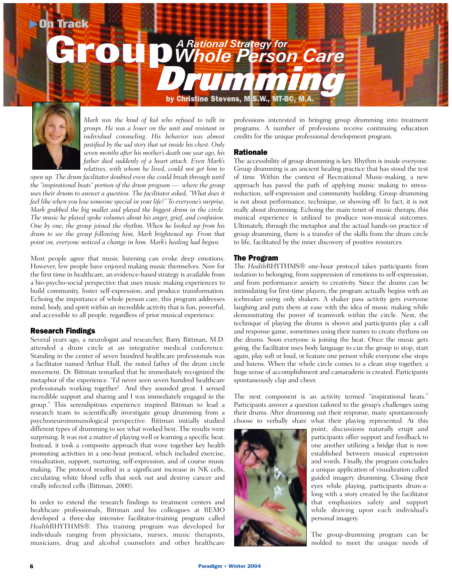

*Mark was the kind of kid who refused to talk in groups. He was a loner on the unit and resistant in individual counseling. His behavior was almost justified by the sad story that sat inside his chest. Only seven months after his mother's death one year ago, his father died suddenly of a heart attack. Even Mark's relatives, with whom he lived, could not get him to*

*open up. The drum facilitator doubted even she could break through until the "inspirational beats" portion of the drum program — where the group uses their drums to answer a question. The facilitator asked, "What does it feel like when you lose someone special in your life?" To everyone's surprise, Mark grabbed the big mallet and played the biggest drum in the circle. The music he played spoke volumes about his anger, grief, and confusion. One by one, the group joined the rhythm. When he looked up from his drum to see the group following him, Mark brightened up. From that point on, everyone noticed a change in him. Mark's healing had begun.*

Most people agree that music listening can evoke deep emotions. However, few people have enjoyed making music themselves. Now for the first time in healthcare, an evidence-based strategy is available from a bio-psycho-social perspective that uses music making experiences to build community, foster self-expression, and produce transformation. Echoing the importance of whole person care, this program addresses mind, body, and spirit within an incredible activity that is fun, powerful, and accessible to all people, regardless of prior musical experience.

### Research Findings

Several years ago, a neurologist and researcher, Barry Bittman, M.D. attended a drum circle at an integrative medical conference. Standing in the center of seven hundred healthcare professionals was a facilitator named Arthur Hull, the noted father of the drum circle movement. Dr. Bittman remarked that he immediately recognized the metaphor of the experience. "I'd never seen seven hundred healthcare professionals working together! And they sounded great. I sensed incredible support and sharing and I was immediately engaged in the group." This serendipitous experience inspired Bittman to lead a research team to scientifically investigate group drumming from a psychoneuroimmunological perspective. Bittman initially studied different types of drumming to see what worked best. The results were surprising. It was not a matter of playing well or learning a specific beat. Instead, it took a composite approach that wove together key health promoting activities in a one-hour protocol, which included exercise, visualization, support, nurturing, self-expression, and of course music making. The protocol resulted in a significant increase in NK cells, circulating white blood cells that seek out and destroy cancer and virally infected cells (Bittman, 2000).

In order to extend the research findings to treatment centers and healthcare professionals, Bittman and his colleagues at REMO developed a three-day intensive facilitator-training program called *Health*RHYTHMS®. This training program was developed for individuals ranging from physicians, nurses, music therapists, musicians, drug and alcohol counselors and other healthcare professions interested in bringing group drumming into treatment programs. A number of professions receive continuing education credits for the unique professional development program.

## Rationale

The accessibility of group drumming is key. Rhythm is inside everyone. Group drumming is an ancient healing practice that has stood the test of time. Within the context of Recreational Music-making, a new approach has paved the path of applying music making to stressreduction, self-expression and community building. Group drumming is not about performance, technique, or showing off. In fact, it is not really about drumming. Echoing the main tenet of music therapy, this musical experience is utilized to produce non-musical outcomes. Ultimately, through the metaphor and the actual hands-on practice of group drumming, there is a transfer of the skills from the drum circle to life, facilitated by the inner discovery of positive resources.

### The Program

The *Health*RHYTHMS® one-hour protocol takes participants from isolation to belonging, from suppression of emotions to self-expression, and from performance anxiety to creativity. Since the drums can be intimidating for first-time players, the program actually begins with an icebreaker using only shakers. A shaker pass activity gets everyone laughing and puts them at ease with the idea of music making while demonstrating the power of teamwork within the circle. Next, the technique of playing the drums is shown and participants play a call and response game, sometimes using their names to create rhythms on the drums. Soon everyone is joining the beat. Once the music gets going, the facilitator uses body language to cue the group to stop, start again, play soft or loud, or feature one person while everyone else stops and listens. When the whole circle comes to a clean stop together, a huge sense of accomplishment and camaraderie is created. Participants spontaneously clap and cheer.

The next component is an activity termed "inspirational beats." Participants answer a question tailored to the group's challenges using their drums. After drumming out their response, many spontaneously choose to verbally share what their playing represented. At this



point, discussions naturally erupt and participants offer support and feedback to one another utilizing a bridge that is now established between musical expression and words. Finally, the program concludes a unique application of visualization called guided imagery drumming. Closing their eyes while playing, participants drum-along with a story created by the facilitator that emphasizes safety and support while drawing upon each individual's personal imagery.

The group-drumming program can be molded to meet the unique needs of